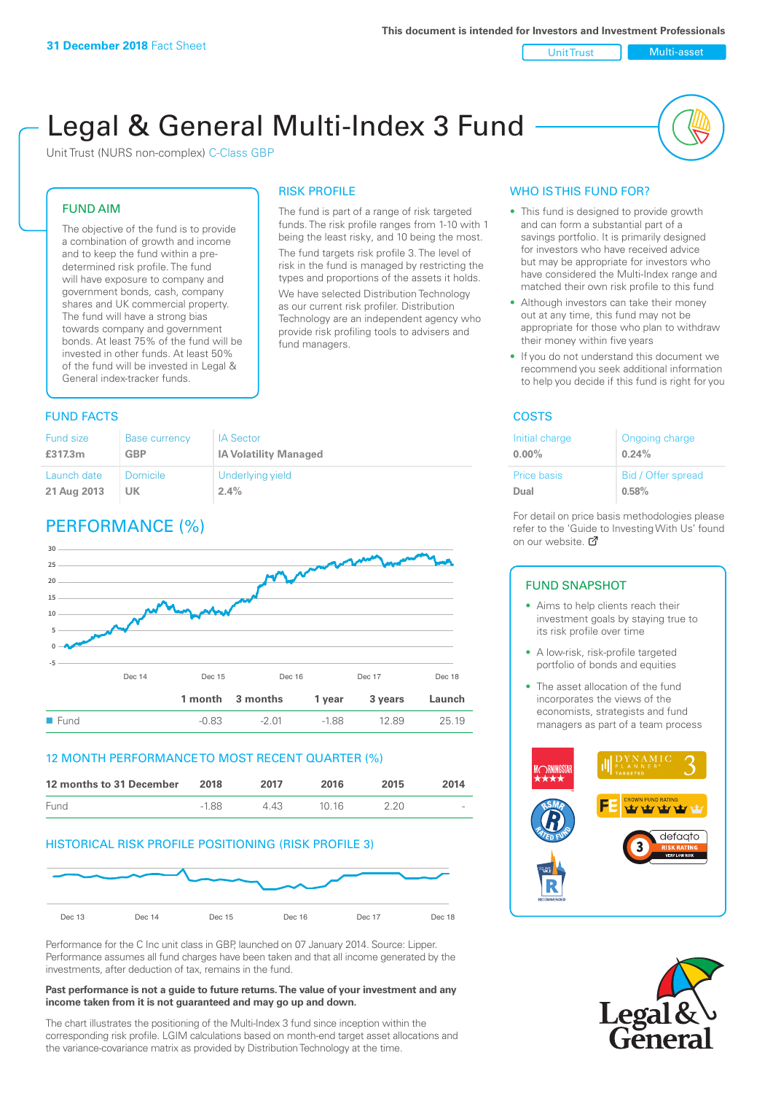Unit Trust Nulti-asset

# Legal & General Multi-Index 3 Fund

RISK PROFILE

fund managers.

The fund is part of a range of risk targeted funds. The risk profile ranges from 1-10 with 1 being the least risky, and 10 being the most. The fund targets risk profile 3. The level of risk in the fund is managed by restricting the types and proportions of the assets it holds. We have selected Distribution Technology as our current risk profiler. Distribution Technology are an independent agency who provide risk profiling tools to advisers and

Unit Trust (NURS non-complex) C-Class GBP

#### FUND AIM

The objective of the fund is to provide a combination of growth and income and to keep the fund within a predetermined risk profile. The fund will have exposure to company and government bonds, cash, company shares and UK commercial property. The fund will have a strong bias towards company and government bonds. At least 75% of the fund will be invested in other funds. At least 50% of the fund will be invested in Legal & General index-tracker funds.

#### **FUND FACTS** COSTS

| <b>Fund size</b> | <b>Base currency</b> | <b>IA Sector</b>             |
|------------------|----------------------|------------------------------|
| £317.3m          | <b>GBP</b>           | <b>IA Volatility Managed</b> |
| Launch date      | <b>Domicile</b>      | Underlying yield             |
| 21 Aug 2013      | UK                   | 2.4%                         |

# PERFORMANCE (%)



#### 12 MONTH PERFORMANCE TO MOST RECENT QUARTER (%)

| 12 months to 31 December | 2018    | 2017 | 2016  | 2015 | 2014   |
|--------------------------|---------|------|-------|------|--------|
| Fund                     | $-1.88$ | 4 43 | 10.16 | 2.20 | $\sim$ |

#### HISTORICAL RISK PROFILE POSITIONING (RISK PROFILE 3)



Performance for the C Inc unit class in GBP, launched on 07 January 2014. Source: Lipper. Performance assumes all fund charges have been taken and that all income generated by the investments, after deduction of tax, remains in the fund.

#### **Past performance is not a guide to future returns. The value of your investment and any income taken from it is not guaranteed and may go up and down.**

The chart illustrates the positioning of the Multi-Index 3 fund since inception within the corresponding risk profile. LGIM calculations based on month-end target asset allocations and the variance-covariance matrix as provided by Distribution Technology at the time.

#### WHO IS THIS FUND FOR?

- This fund is designed to provide growth and can form a substantial part of a savings portfolio. It is primarily designed for investors who have received advice but may be appropriate for investors who have considered the Multi-Index range and matched their own risk profile to this fund
- Although investors can take their money out at any time, this fund may not be appropriate for those who plan to withdraw their money within five years
- If you do not understand this document we recommend you seek additional information to help you decide if this fund is right for you

| Initial charge | Ongoing charge     |
|----------------|--------------------|
| $0.00\%$       | 0.24%              |
| Price basis    | Bid / Offer spread |
| Dual           | 0.58%              |

For detail on price basis methodologies please refer to the 'Guide to Investing With Us' found on our website. Ø

#### FUND SNAPSHOT

- Aims to help clients reach their investment goals by staying true to its risk profile over time
- A low-risk, risk-profile targeted portfolio of bonds and equities
- The asset allocation of the fund incorporates the views of the economists, strategists and fund managers as part of a team process



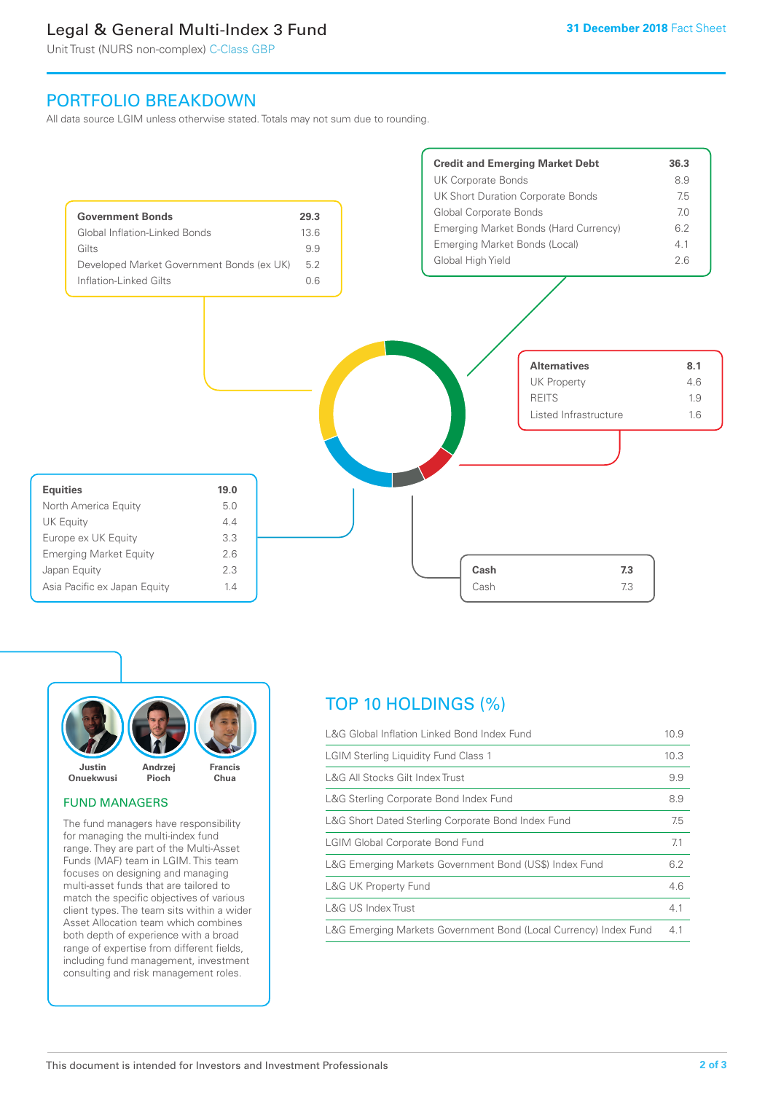# Legal & General Multi-Index 3 Fund

Unit Trust (NURS non-complex) C-Class GBP

## PORTFOLIO BREAKDOWN

All data source LGIM unless otherwise stated. Totals may not sum due to rounding.





#### FUND MANAGERS

The fund managers have responsibility for managing the multi-index fund range. They are part of the Multi-Asset Funds (MAF) team in LGIM. This team focuses on designing and managing multi-asset funds that are tailored to match the specific objectives of various client types. The team sits within a wider Asset Allocation team which combines both depth of experience with a broad range of expertise from different fields, including fund management, investment consulting and risk management roles.

# TOP 10 HOLDINGS (%)

| L&G Global Inflation Linked Bond Index Fund                      | 10.9 |
|------------------------------------------------------------------|------|
| <b>LGIM Sterling Liquidity Fund Class 1</b>                      | 10.3 |
| L&G All Stocks Gilt Index Trust                                  | 9.9  |
| L&G Sterling Corporate Bond Index Fund                           | 8.9  |
| L&G Short Dated Sterling Corporate Bond Index Fund               | 7.5  |
| <b>LGIM Global Corporate Bond Fund</b>                           | 7.1  |
| L&G Emerging Markets Government Bond (US\$) Index Fund           | 6.2  |
| <b>L&amp;G UK Property Fund</b>                                  | 4.6  |
| L&G US Index Trust                                               | 4.1  |
| L&G Emerging Markets Government Bond (Local Currency) Index Fund | 4.1  |